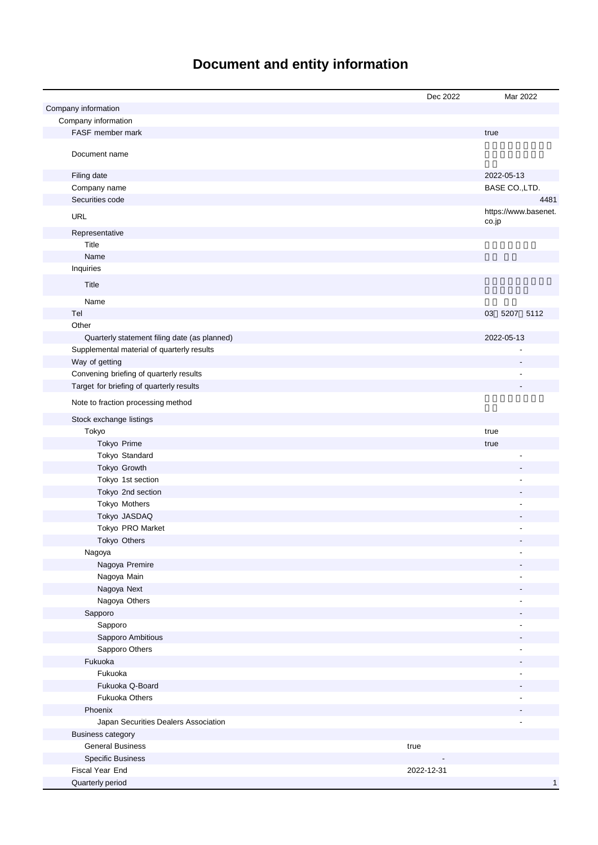# **Document and entity information**

|                                              | Dec 2022   | Mar 2022                      |
|----------------------------------------------|------------|-------------------------------|
| Company information                          |            |                               |
| Company information                          |            |                               |
| FASF member mark                             |            | true                          |
| Document name                                |            |                               |
| Filing date                                  |            | 2022-05-13                    |
| Company name                                 |            | BASE CO., LTD.                |
| Securities code                              |            | 4481                          |
| <b>URL</b>                                   |            | https://www.basenet.<br>co.jp |
| Representative                               |            |                               |
| Title                                        |            |                               |
| Name                                         |            |                               |
| Inquiries                                    |            |                               |
| Title                                        |            |                               |
| Name                                         |            |                               |
| Tel                                          |            | 03 5207 5112                  |
| Other                                        |            |                               |
| Quarterly statement filing date (as planned) |            | 2022-05-13                    |
| Supplemental material of quarterly results   |            |                               |
| Way of getting                               |            |                               |
| Convening briefing of quarterly results      |            |                               |
| Target for briefing of quarterly results     |            |                               |
| Note to fraction processing method           |            |                               |
| Stock exchange listings                      |            |                               |
| Tokyo                                        |            | true                          |
| Tokyo Prime                                  |            | true                          |
| Tokyo Standard                               |            |                               |
| Tokyo Growth                                 |            |                               |
| Tokyo 1st section                            |            |                               |
| Tokyo 2nd section                            |            |                               |
| Tokyo Mothers                                |            |                               |
| Tokyo JASDAQ                                 |            |                               |
| Tokyo PRO Market                             |            |                               |
| Tokyo Others                                 |            |                               |
| Nagoya                                       |            |                               |
| Nagoya Premire                               |            |                               |
| Nagoya Main                                  |            |                               |
| Nagoya Next                                  |            |                               |
| Nagoya Others                                |            |                               |
| Sapporo<br>Sapporo                           |            |                               |
| Sapporo Ambitious                            |            |                               |
| Sapporo Others                               |            |                               |
| Fukuoka                                      |            |                               |
| Fukuoka                                      |            |                               |
| Fukuoka Q-Board                              |            |                               |
| <b>Fukuoka Others</b>                        |            |                               |
| Phoenix                                      |            |                               |
| Japan Securities Dealers Association         |            |                               |
| <b>Business category</b>                     |            |                               |
| <b>General Business</b>                      | true       |                               |
| <b>Specific Business</b>                     |            |                               |
| Fiscal Year End                              | 2022-12-31 |                               |
| Quarterly period                             |            | $\mathbf{1}$                  |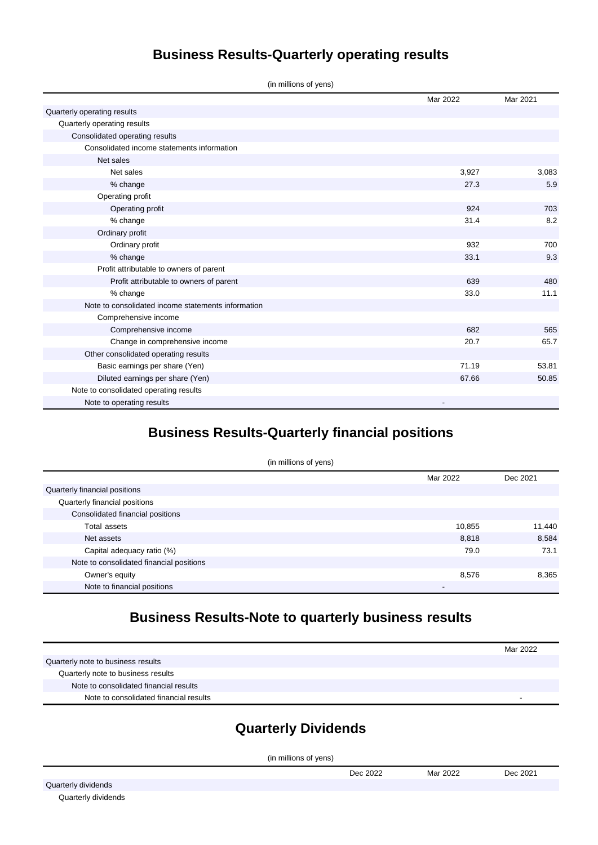# **Business Results-Quarterly operating results**

|  |  | (in millions of yens) |  |
|--|--|-----------------------|--|
|  |  |                       |  |

|                                                    | Mar 2022 | Mar 2021 |
|----------------------------------------------------|----------|----------|
| Quarterly operating results                        |          |          |
| Quarterly operating results                        |          |          |
| Consolidated operating results                     |          |          |
| Consolidated income statements information         |          |          |
| Net sales                                          |          |          |
| Net sales                                          | 3,927    | 3,083    |
| % change                                           | 27.3     | 5.9      |
| Operating profit                                   |          |          |
| Operating profit                                   | 924      | 703      |
| % change                                           | 31.4     | 8.2      |
| Ordinary profit                                    |          |          |
| Ordinary profit                                    | 932      | 700      |
| % change                                           | 33.1     | 9.3      |
| Profit attributable to owners of parent            |          |          |
| Profit attributable to owners of parent            | 639      | 480      |
| % change                                           | 33.0     | 11.1     |
| Note to consolidated income statements information |          |          |
| Comprehensive income                               |          |          |
| Comprehensive income                               | 682      | 565      |
| Change in comprehensive income                     | 20.7     | 65.7     |
| Other consolidated operating results               |          |          |
| Basic earnings per share (Yen)                     | 71.19    | 53.81    |
| Diluted earnings per share (Yen)                   | 67.66    | 50.85    |
| Note to consolidated operating results             |          |          |
| Note to operating results                          |          |          |

### **Business Results-Quarterly financial positions**

| (in millions of yens)                    |          |          |  |  |
|------------------------------------------|----------|----------|--|--|
|                                          | Mar 2022 | Dec 2021 |  |  |
| Quarterly financial positions            |          |          |  |  |
| Quarterly financial positions            |          |          |  |  |
| Consolidated financial positions         |          |          |  |  |
| <b>Total assets</b>                      | 10,855   | 11,440   |  |  |
| Net assets                               | 8,818    | 8,584    |  |  |
| Capital adequacy ratio (%)               | 79.0     | 73.1     |  |  |
| Note to consolidated financial positions |          |          |  |  |
| Owner's equity                           | 8,576    | 8,365    |  |  |
| Note to financial positions              | ٠        |          |  |  |

# **Business Results-Note to quarterly business results**

|                                        | Mar 2022 |
|----------------------------------------|----------|
| Quarterly note to business results     |          |
| Quarterly note to business results     |          |
| Note to consolidated financial results |          |
| Note to consolidated financial results | -        |

#### **Quarterly Dividends**

(in millions of yens)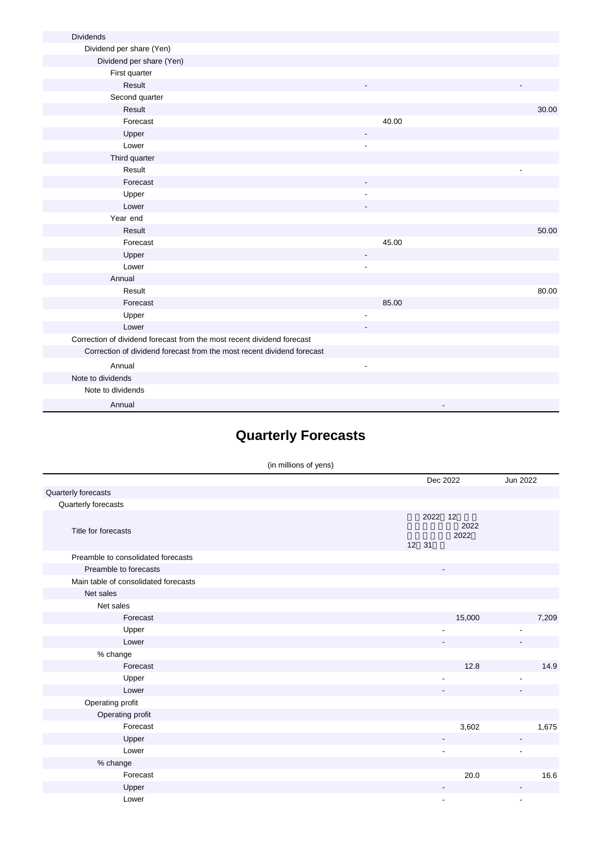| <b>Dividends</b>                                                       |                |       |
|------------------------------------------------------------------------|----------------|-------|
| Dividend per share (Yen)                                               |                |       |
| Dividend per share (Yen)                                               |                |       |
| First quarter                                                          |                |       |
| Result                                                                 |                |       |
| Second quarter                                                         |                |       |
| Result                                                                 |                | 30.00 |
| Forecast                                                               | 40.00          |       |
| Upper                                                                  |                |       |
| Lower                                                                  | $\blacksquare$ |       |
| Third quarter                                                          |                |       |
| Result                                                                 |                |       |
| Forecast                                                               |                |       |
| Upper                                                                  |                |       |
| Lower                                                                  |                |       |
| Year end                                                               |                |       |
| Result                                                                 |                | 50.00 |
| Forecast                                                               | 45.00          |       |
| Upper                                                                  |                |       |
| Lower                                                                  | $\overline{a}$ |       |
| Annual                                                                 |                |       |
| Result                                                                 |                | 80.00 |
| Forecast                                                               | 85.00          |       |
| Upper                                                                  |                |       |
| Lower                                                                  |                |       |
| Correction of dividend forecast from the most recent dividend forecast |                |       |
| Correction of dividend forecast from the most recent dividend forecast |                |       |
| Annual                                                                 |                |       |
| Note to dividends                                                      |                |       |
| Note to dividends                                                      |                |       |
| Annual                                                                 |                |       |

# **Quarterly Forecasts**

(in millions of yens)

|                                      |       | Dec 2022                 |                    | Jun 2022 |
|--------------------------------------|-------|--------------------------|--------------------|----------|
| Quarterly forecasts                  |       |                          |                    |          |
| Quarterly forecasts                  |       |                          |                    |          |
| Title for forecasts                  | 12 31 | 2022                     | 12<br>2022<br>2022 |          |
| Preamble to consolidated forecasts   |       |                          |                    |          |
| Preamble to forecasts                |       | $\overline{\phantom{a}}$ |                    |          |
| Main table of consolidated forecasts |       |                          |                    |          |
| Net sales                            |       |                          |                    |          |
| Net sales                            |       |                          |                    |          |
| Forecast                             |       |                          | 15,000             | 7,209    |
| Upper                                |       |                          |                    |          |
| Lower                                |       |                          |                    |          |
| % change                             |       |                          |                    |          |
| Forecast                             |       |                          | 12.8               | 14.9     |
| Upper                                |       | -                        |                    | -        |
| Lower                                |       |                          |                    |          |
| Operating profit                     |       |                          |                    |          |
| Operating profit                     |       |                          |                    |          |
| Forecast                             |       |                          | 3,602              | 1,675    |
| Upper                                |       |                          |                    |          |
| Lower                                |       | ٠                        |                    |          |
| % change                             |       |                          |                    |          |
| Forecast                             |       |                          | 20.0               | 16.6     |
| Upper                                |       |                          |                    |          |
| Lower                                |       | ٠                        |                    |          |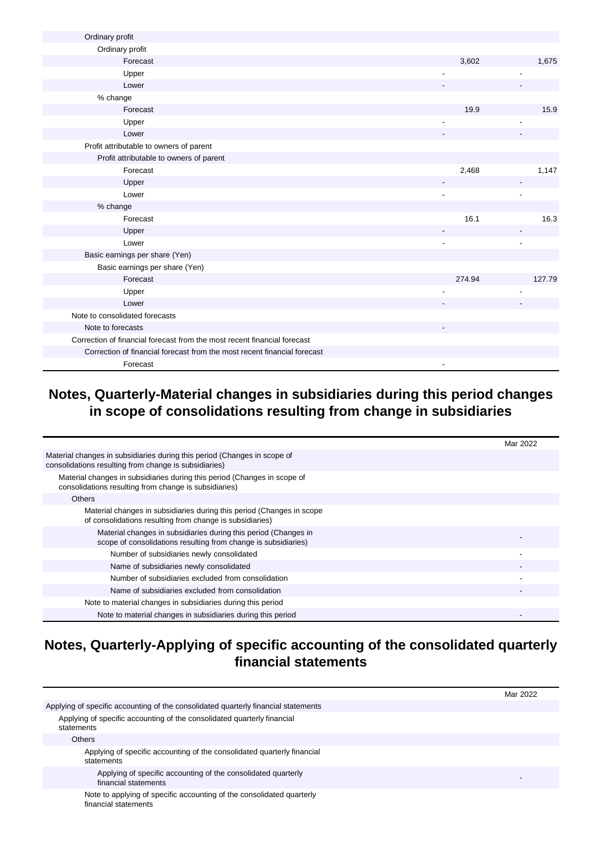| Ordinary profit                                                          |        |        |
|--------------------------------------------------------------------------|--------|--------|
| Ordinary profit                                                          |        |        |
| Forecast                                                                 | 3,602  | 1,675  |
| Upper                                                                    |        |        |
| Lower                                                                    |        |        |
| % change                                                                 |        |        |
| Forecast                                                                 | 19.9   | 15.9   |
| Upper                                                                    |        |        |
| Lower                                                                    |        |        |
| Profit attributable to owners of parent                                  |        |        |
| Profit attributable to owners of parent                                  |        |        |
| Forecast                                                                 | 2,468  | 1,147  |
| Upper                                                                    |        |        |
| Lower                                                                    |        |        |
| % change                                                                 |        |        |
| Forecast                                                                 | 16.1   | 16.3   |
| Upper                                                                    |        |        |
| Lower                                                                    |        |        |
| Basic earnings per share (Yen)                                           |        |        |
| Basic earnings per share (Yen)                                           |        |        |
| Forecast                                                                 | 274.94 | 127.79 |
| Upper                                                                    |        |        |
| Lower                                                                    |        |        |
| Note to consolidated forecasts                                           |        |        |
| Note to forecasts                                                        |        |        |
| Correction of financial forecast from the most recent financial forecast |        |        |
| Correction of financial forecast from the most recent financial forecast |        |        |
| Forecast                                                                 |        |        |

### **Notes, Quarterly-Material changes in subsidiaries during this period changes in scope of consolidations resulting from change in subsidiaries**

|                                                                                                                                   | Mar 2022 |
|-----------------------------------------------------------------------------------------------------------------------------------|----------|
| Material changes in subsidiaries during this period (Changes in scope of<br>consolidations resulting from change is subsidiaries) |          |
| Material changes in subsidiaries during this period (Changes in scope of<br>consolidations resulting from change is subsidiaries) |          |
| <b>Others</b>                                                                                                                     |          |
| Material changes in subsidiaries during this period (Changes in scope<br>of consolidations resulting from change is subsidiaries) |          |
| Material changes in subsidiaries during this period (Changes in<br>scope of consolidations resulting from change is subsidiaries) |          |
| Number of subsidiaries newly consolidated                                                                                         |          |
| Name of subsidiaries newly consolidated                                                                                           |          |
| Number of subsidiaries excluded from consolidation                                                                                |          |
| Name of subsidiaries excluded from consolidation                                                                                  |          |
| Note to material changes in subsidiaries during this period                                                                       |          |
| Note to material changes in subsidiaries during this period                                                                       |          |

### **Notes, Quarterly-Applying of specific accounting of the consolidated quarterly financial statements**

|                                                                                               | Mar 2022 |
|-----------------------------------------------------------------------------------------------|----------|
| Applying of specific accounting of the consolidated quarterly financial statements            |          |
| Applying of specific accounting of the consolidated quarterly financial<br>statements         |          |
| <b>Others</b>                                                                                 |          |
| Applying of specific accounting of the consolidated quarterly financial<br>statements         |          |
| Applying of specific accounting of the consolidated quarterly<br>financial statements         |          |
| Note to applying of specific accounting of the consolidated quarterly<br>financial statements |          |